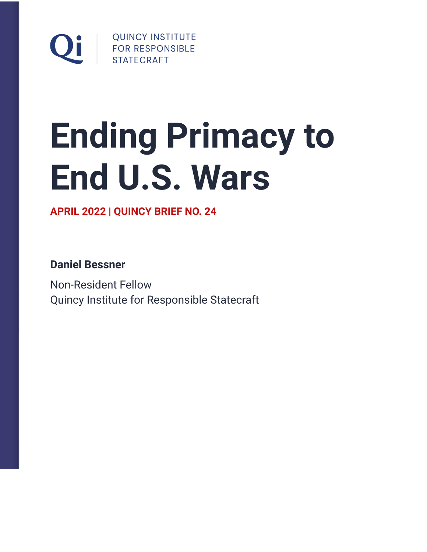

# **Ending Primacy to End U.S. Wars**

**APRIL 2022 | QUINCY BRIEF NO. 24**

**Daniel Bessner**

Non-Resident Fellow Quincy Institute for Responsible Statecraft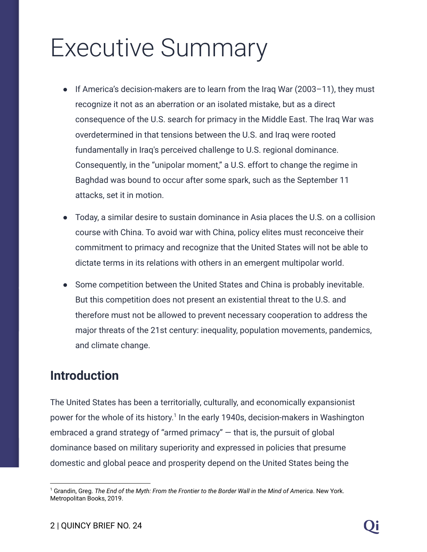# Executive Summary

- If America's decision-makers are to learn from the Iraq War (2003–11), they must recognize it not as an aberration or an isolated mistake, but as a direct consequence of the U.S. search for primacy in the Middle East. The Iraq War was overdetermined in that tensions between the U.S. and Iraq were rooted fundamentally in Iraq's perceived challenge to U.S. regional dominance. Consequently, in the "unipolar moment," a U.S. effort to change the regime in Baghdad was bound to occur after some spark, such as the September 11 attacks, set it in motion.
- Today, a similar desire to sustain dominance in Asia places the U.S. on a collision course with China. To avoid war with China, policy elites must reconceive their commitment to primacy and recognize that the United States will not be able to dictate terms in its relations with others in an emergent multipolar world.
- Some competition between the United States and China is probably inevitable. But this competition does not present an existential threat to the U.S. and therefore must not be allowed to prevent necessary cooperation to address the major threats of the 21st century: inequality, population movements, pandemics, and climate change.

#### **Introduction**

The United States has been a territorially, culturally, and economically expansionist power for the whole of its history.<sup>1</sup> In the early 1940s, decision-makers in Washington embraced a grand strategy of "armed primacy" — that is, the pursuit of global dominance based on military superiority and expressed in policies that presume domestic and global peace and prosperity depend on the United States being the

<sup>1</sup> Grandin, Greg. *The End of the Myth: From the Frontier to the Border Wall in the Mind of America*. New York. Metropolitan Books, 2019.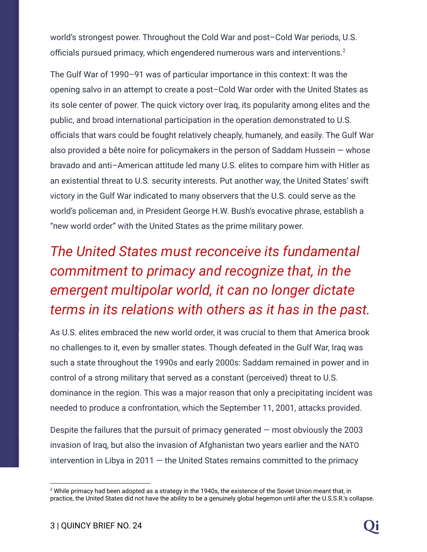world's strongest power. Throughout the Cold War and post–Cold War periods, U.S. officials pursued primacy, which engendered numerous wars and interventions.<sup>2</sup>

The Gulf War of 1990–91 was of particular importance in this context: It was the opening salvo in an attempt to create a post–Cold War order with the United States as its sole center of power. The quick victory over Iraq, its popularity among elites and the public, and broad international participation in the operation demonstrated to U.S. officials that wars could be fought relatively cheaply, humanely, and easily. The Gulf War also provided a bête noire for policymakers in the person of Saddam Hussein — whose bravado and anti–American attitude led many U.S. elites to compare him with Hitler as an existential threat to U.S. security interests. Put another way, the United States' swift victory in the Gulf War indicated to many observers that the U.S. could serve as the world's policeman and, in President George H.W. Bush's evocative phrase, establish a "new world order" with the United States as the prime military power.

# *The United States must reconceive its fundamental commitment to primacy and recognize that, in the emergent multipolar world, it can no longer dictate terms in its relations with others as it has in the past.*

As U.S. elites embraced the new world order, it was crucial to them that America brook no challenges to it, even by smaller states. Though defeated in the Gulf War, Iraq was such a state throughout the 1990s and early 2000s: Saddam remained in power and in control of a strong military that served as a constant (perceived) threat to U.S. dominance in the region. This was a major reason that only a precipitating incident was needed to produce a confrontation, which the September 11, 2001, attacks provided.

Despite the failures that the pursuit of primacy generated  $-$  most obviously the 2003 invasion of Iraq, but also the invasion of Afghanistan two years earlier and the NATO intervention in Libya in 2011  $-$  the United States remains committed to the primacy

 $2$  While primacy had been adopted as a strategy in the 1940s, the existence of the Soviet Union meant that, in practice, the United States did not have the ability to be a genuinely global hegemon until after the U.S.S.R.'s collapse.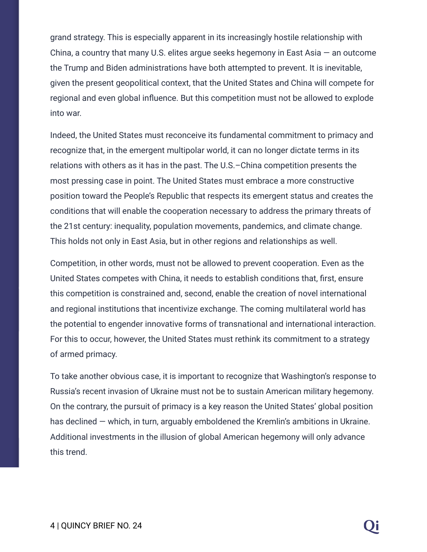grand strategy. This is especially apparent in its increasingly hostile relationship with China, a country that many U.S. elites argue seeks hegemony in East Asia  $-$  an outcome the Trump and Biden administrations have both attempted to prevent. It is inevitable, given the present geopolitical context, that the United States and China will compete for regional and even global influence. But this competition must not be allowed to explode into war.

Indeed, the United States must reconceive its fundamental commitment to primacy and recognize that, in the emergent multipolar world, it can no longer dictate terms in its relations with others as it has in the past. The U.S.–China competition presents the most pressing case in point. The United States must embrace a more constructive position toward the People's Republic that respects its emergent status and creates the conditions that will enable the cooperation necessary to address the primary threats of the 21st century: inequality, population movements, pandemics, and climate change. This holds not only in East Asia, but in other regions and relationships as well.

Competition, in other words, must not be allowed to prevent cooperation. Even as the United States competes with China, it needs to establish conditions that, first, ensure this competition is constrained and, second, enable the creation of novel international and regional institutions that incentivize exchange. The coming multilateral world has the potential to engender innovative forms of transnational and international interaction. For this to occur, however, the United States must rethink its commitment to a strategy of armed primacy.

To take another obvious case, it is important to recognize that Washington's response to Russia's recent invasion of Ukraine must not be to sustain American military hegemony. On the contrary, the pursuit of primacy is a key reason the United States' global position has declined — which, in turn, arguably emboldened the Kremlin's ambitions in Ukraine. Additional investments in the illusion of global American hegemony will only advance this trend.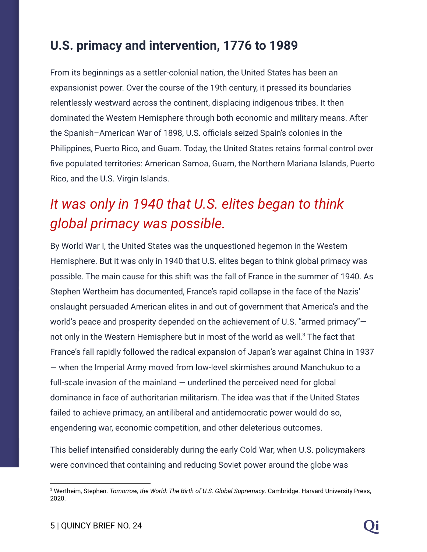#### **U.S. primacy and intervention, 1776 to 1989**

From its beginnings as a settler-colonial nation, the United States has been an expansionist power. Over the course of the 19th century, it pressed its boundaries relentlessly westward across the continent, displacing indigenous tribes. It then dominated the Western Hemisphere through both economic and military means. After the Spanish–American War of 1898, U.S. officials seized Spain's colonies in the Philippines, Puerto Rico, and Guam. Today, the United States retains formal control over five populated territories: American Samoa, Guam, the Northern Mariana Islands, Puerto Rico, and the U.S. Virgin Islands.

### *It was only in 1940 that U.S. elites began to think global primacy was possible.*

By World War I, the United States was the unquestioned hegemon in the Western Hemisphere. But it was only in 1940 that U.S. elites began to think global primacy was possible. The main cause for this shift was the fall of France in the summer of 1940. As Stephen Wertheim has documented, France's rapid collapse in the face of the Nazis' onslaught persuaded American elites in and out of government that America's and the world's peace and prosperity depended on the achievement of U.S. "armed primacy" not only in the Western Hemisphere but in most of the world as well.<sup>3</sup> The fact that France's fall rapidly followed the radical expansion of Japan's war against China in 1937 — when the Imperial Army moved from low-level skirmishes around Manchukuo to a full-scale invasion of the mainland – underlined the perceived need for alobal dominance in face of authoritarian militarism. The idea was that if the United States failed to achieve primacy, an antiliberal and antidemocratic power would do so, engendering war, economic competition, and other deleterious outcomes.

This belief intensified considerably during the early Cold War, when U.S. policymakers were convinced that containing and reducing Soviet power around the globe was

<sup>3</sup> Wertheim, Stephen. *Tomorrow, the World: The Birth of U.S. Global Supremacy*. Cambridge. Harvard University Press, 2020.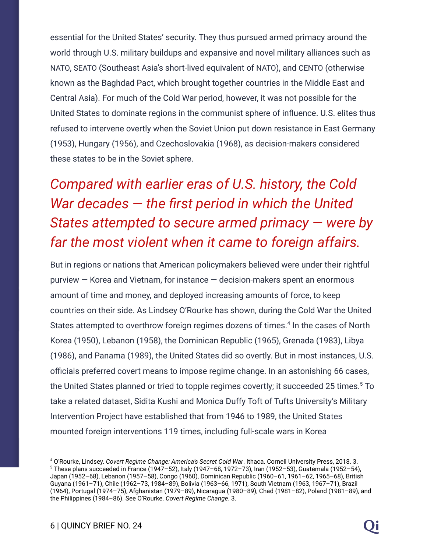essential for the United States' security. They thus pursued armed primacy around the world through U.S. military buildups and expansive and novel military alliances such as NATO, SEATO (Southeast Asia's short-lived equivalent of NATO), and CENTO (otherwise known as the Baghdad Pact, which brought together countries in the Middle East and Central Asia). For much of the Cold War period, however, it was not possible for the United States to dominate regions in the communist sphere of influence. U.S. elites thus refused to intervene overtly when the Soviet Union put down resistance in East Germany (1953), Hungary (1956), and Czechoslovakia (1968), as decision-makers considered these states to be in the Soviet sphere.

# *Compared with earlier eras of U.S. history, the Cold War decades — the first period in which the United States attempted to secure armed primacy — were by far the most violent when it came to foreign affairs.*

But in regions or nations that American policymakers believed were under their rightful purview — Korea and Vietnam, for instance — decision-makers spent an enormous amount of time and money, and deployed increasing amounts of force, to keep countries on their side. As Lindsey O'Rourke has shown, during the Cold War the United States attempted to overthrow foreign regimes dozens of times.<sup>4</sup> In the cases of North Korea (1950), Lebanon (1958), the Dominican Republic (1965), Grenada (1983), Libya (1986), and Panama (1989), the United States did so overtly. But in most instances, U.S. officials preferred covert means to impose regime change. In an astonishing 66 cases, the United States planned or tried to topple regimes covertly; it succeeded 25 times. ${}^5$  To take a related dataset, Sidita Kushi and Monica Duffy Toft of Tufts University's Military Intervention Project have established that from 1946 to 1989, the United States mounted foreign interventions 119 times, including full-scale wars in Korea

 $5$  These plans succeeded in France (1947–52), Italy (1947–68, 1972–73), Iran (1952–53), Guatemala (1952–54), Japan (1952–68), Lebanon (1957–58), Congo (1960), Dominican Republic (1960–61, 1961–62, 1965–68), British Guyana (1961–71), Chile (1962–73, 1984–89), Bolivia (1963–66, 1971), South Vietnam (1963, 1967–71), Brazil (1964), Portugal (1974–75), Afghanistan (1979–89), Nicaragua (1980–89), Chad (1981–82), Poland (1981–89), and the Philippines (1984–86). See O'Rourke. *Covert Regime Change*. 3. <sup>4</sup> O'Rourke, Lindsey. *Covert Regime Change: America's Secret Cold War*. Ithaca. Cornell University Press, 2018. 3.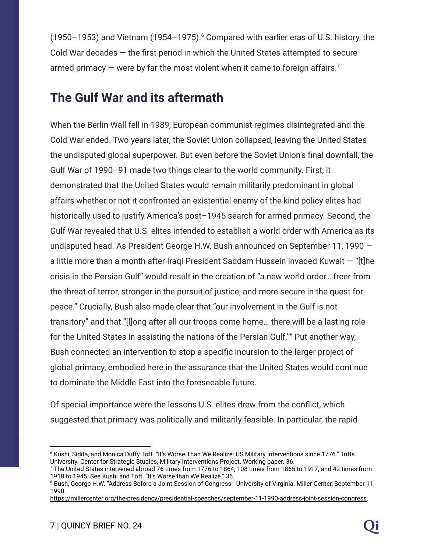(1950–1953) and Vietnam (1954–1975). $6$  Compared with earlier eras of U.S. history, the Cold War decades — the first period in which the United States attempted to secure armed primacy  $-$  were by far the most violent when it came to foreign affairs.<sup>7</sup>

#### **The Gulf War and its aftermath**

When the Berlin Wall fell in 1989, European communist regimes disintegrated and the Cold War ended. Two years later, the Soviet Union collapsed, leaving the United States the undisputed global superpower. But even before the Soviet Union's final downfall, the Gulf War of 1990–91 made two things clear to the world community. First, it demonstrated that the United States would remain militarily predominant in global affairs whether or not it confronted an existential enemy of the kind policy elites had historically used to justify America's post-1945 search for armed primacy. Second, the Gulf War revealed that U.S. elites intended to establish a world order with America as its undisputed head. As President George H.W. Bush announced on September 11, 1990 a little more than a month after Iraqi President Saddam Hussein invaded Kuwait — "[t]he crisis in the Persian Gulf" would result in the creation of "a new world order… freer from the threat of terror, stronger in the pursuit of justice, and more secure in the quest for peace." Crucially, Bush also made clear that "our involvement in the Gulf is not transitory" and that "[l]ong after all our troops come home… there will be a lasting role for the United States in assisting the nations of the Persian Gulf."<sup>8</sup> Put another way, Bush connected an intervention to stop a specific incursion to the larger project of global primacy, embodied here in the assurance that the United States would continue to dominate the Middle East into the foreseeable future.

Of special importance were the lessons U.S. elites drew from the conflict, which suggested that primacy was politically and militarily feasible. In particular, the rapid

<sup>6</sup> Kushi, Sidita, and Monica Duffy Toft. "It's Worse Than We Realize: US Military Interventions since 1776." Tufts University. Center for Strategic Studies, Military Interventions Project. Working paper. 36.

 $7$  The United States intervened abroad 76 times from 1776 to 1864; 108 times from 1865 to 1917; and 42 times from 1918 to 1945. See Kushi and Toft. "It's Worse than We Realize." 36.

<sup>&</sup>lt;sup>8</sup> Bush, George H.W. "Address Before a Joint Session of Congress." University of Virginia. Miller Center, September 11, 1990.

[https://millercenter.org/the-presidency/presidential-speeches/september-11-1990-address-joint-session-congress.](https://millercenter.org/the-presidency/presidential-speeches/september-11-1990-address-joint-session-congress)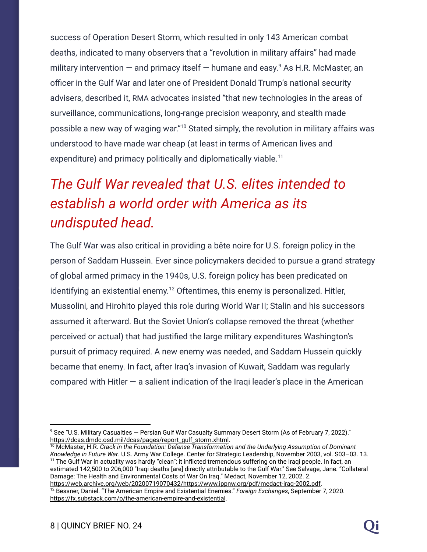success of Operation Desert Storm, which resulted in only 143 American combat deaths, indicated to many observers that a "revolution in military affairs" had made military intervention  $-$  and primacy itself  $-$  humane and easy.<sup>9</sup> As H.R. McMaster, an officer in the Gulf War and later one of President Donald Trump's national security advisers, described it, RMA advocates insisted "that new technologies in the areas of surveillance, communications, long-range precision weaponry, and stealth made possible a new way of waging war."<sup>10</sup> Stated simply, the revolution in military affairs was understood to have made war cheap (at least in terms of American lives and expenditure) and primacy politically and diplomatically viable.<sup>11</sup>

## *The Gulf War revealed that U.S. elites intended to establish a world order with America as its undisputed head.*

The Gulf War was also critical in providing a bête noire for U.S. foreign policy in the person of Saddam Hussein. Ever since policymakers decided to pursue a grand strategy of global armed primacy in the 1940s, U.S. foreign policy has been predicated on identifying an existential enemy. $^{12}$  Oftentimes, this enemy is personalized. Hitler, Mussolini, and Hirohito played this role during World War II; Stalin and his successors assumed it afterward. But the Soviet Union's collapse removed the threat (whether perceived or actual) that had justified the large military expenditures Washington's pursuit of primacy required. A new enemy was needed, and Saddam Hussein quickly became that enemy. In fact, after Iraq's invasion of Kuwait, Saddam was regularly compared with Hitler  $-$  a salient indication of the Iraqi leader's place in the American

<sup>9</sup> See "U.S. Military Casualties — Persian Gulf War Casualty Summary Desert Storm (As of February 7, 2022)." [https://dcas.dmdc.osd.mil/dcas/pages/report\\_gulf\\_storm.xhtml](https://dcas.dmdc.osd.mil/dcas/pages/report_gulf_storm.xhtml).

<sup>&</sup>lt;sup>11</sup> The Gulf War in actuality was hardly "clean"; it inflicted tremendous suffering on the Iraqi people. In fact, an estimated 142,500 to 206,000 "Iraqi deaths [are] directly attributable to the Gulf War." See Salvage, Jane. "Collateral Damage: The Health and Environmental Costs of War On Iraq." Medact, November 12, 2002. 2. [https://web.archive.org/web/20200719070432/https://www.ippnw.org/pdf/medact-iraq-2002.pdf.](https://web.archive.org/web/20200719070432/https://www.ippnw.org/pdf/medact-iraq-2002.pdf) <sup>10</sup> McMaster, H.R. *Crack in the Foundation: Defense Transformation and the Underlying Assumption of Dominant Knowledge in Future War*. U.S. Army War College. Center for Strategic Leadership, November 2003, vol. S03–03. 13.

<sup>12</sup> Bessner, Daniel. "The American Empire and Existential Enemies." *Foreign Exchanges*, September 7, 2020. <https://fx.substack.com/p/the-american-empire-and-existential>.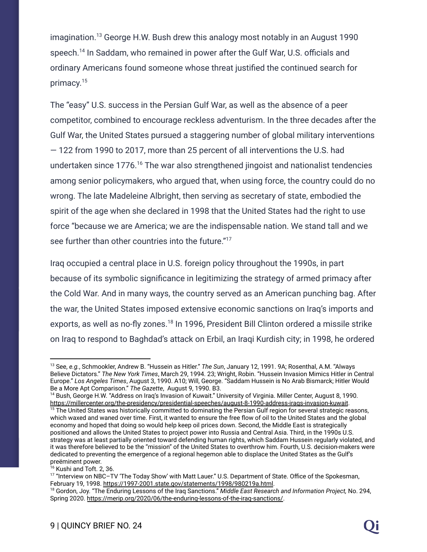imagination.<sup>13</sup> George H.W. Bush drew this analogy most notably in an August 1990 speech.<sup>14</sup> In Saddam, who remained in power after the Gulf War, U.S. officials and ordinary Americans found someone whose threat justified the continued search for primacy. 15

The "easy" U.S. success in the Persian Gulf War, as well as the absence of a peer competitor, combined to encourage reckless adventurism. In the three decades after the Gulf War, the United States pursued a staggering number of global military interventions — 122 from 1990 to 2017, more than 25 percent of all interventions the U.S. had undertaken since  $1776$ .<sup>16</sup> The war also strengthened jingoist and nationalist tendencies among senior policymakers, who argued that, when using force, the country could do no wrong. The late Madeleine Albright, then serving as secretary of state, embodied the spirit of the age when she declared in 1998 that the United States had the right to use force "because we are America; we are the indispensable nation. We stand tall and we see further than other countries into the future."<sup>17</sup>

Iraq occupied a central place in U.S. foreign policy throughout the 1990s, in part because of its symbolic significance in legitimizing the strategy of armed primacy after the Cold War. And in many ways, the country served as an American punching bag. After the war, the United States imposed extensive economic sanctions on Iraq's imports and exports, as well as no-fly zones.<sup>18</sup> In 1996, President Bill Clinton ordered a missile strike on Iraq to respond to Baghdad's attack on Erbil, an Iraqi Kurdish city; in 1998, he ordered

<sup>16</sup> Kushi and Toft. 2, 36.

<sup>13</sup> See, *e.g.*, Schmookler, Andrew B. "Hussein as Hitler." *The Sun*, January 12, 1991. 9A; Rosenthal, A.M. "Always Believe Dictators." *The New York Times*, March 29, 1994. 23; Wright, Robin. "Hussein Invasion Mimics Hitler in Central Europe." *Los Angeles Times*, August 3, 1990. A10; Will, George. "Saddam Hussein is No Arab Bismarck; Hitler Would Be a More Apt Comparison." *The Gazette*, August 9, 1990. B3.

<sup>&</sup>lt;sup>14</sup> Bush, George H.W. "Address on Irag's Invasion of Kuwait." University of Virginia. Miller Center, August 8, 1990. <https://millercenter.org/the-presidency/presidential-speeches/august-8-1990-address-iraqs-invasion-kuwait>.

<sup>&</sup>lt;sup>15</sup> The United States was historically committed to dominating the Persian Gulf region for several strategic reasons, which waxed and waned over time. First, it wanted to ensure the free flow of oil to the United States and the global economy and hoped that doing so would help keep oil prices down. Second, the Middle East is strategically positioned and allows the United States to project power into Russia and Central Asia. Third, in the 1990s U.S. strategy was at least partially oriented toward defending human rights, which Saddam Hussein regularly violated, and it was therefore believed to be the "mission" of the United States to overthrow him. Fourth, U.S. decision-makers were dedicated to preventing the emergence of a regional hegemon able to displace the United States as the Gulf's preëminent power.

<sup>17</sup> "Interview on NBC–TV 'The Today Show' with Matt Lauer." U.S. Department of State. Office of the Spokesman, February 19, 1998. [https://1997-2001.state.gov/statements/1998/980219a.html.](https://1997-2001.state.gov/statements/1998/980219a.html)

<sup>18</sup> Gordon, Joy. "The Enduring Lessons of the Iraq Sanctions." *Middle East Research and Information Project,* No. 294, Spring 2020. <https://merip.org/2020/06/the-enduring-lessons-of-the-iraq-sanctions/>.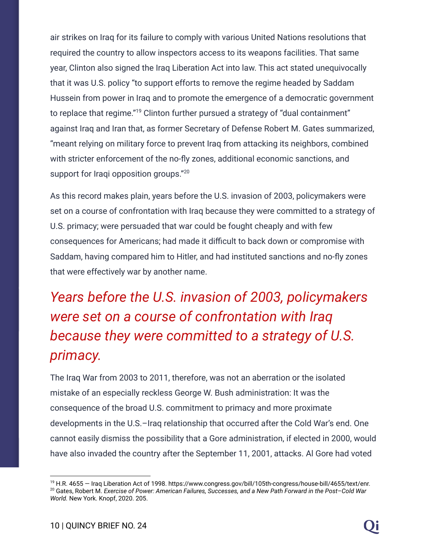air strikes on Iraq for its failure to comply with various United Nations resolutions that required the country to allow inspectors access to its weapons facilities. That same year, Clinton also signed the Iraq Liberation Act into law. This act stated unequivocally that it was U.S. policy "to support efforts to remove the regime headed by Saddam Hussein from power in Iraq and to promote the emergence of a democratic government to replace that regime."<sup>19</sup> Clinton further pursued a strategy of "dual containment" against Iraq and Iran that, as former Secretary of Defense Robert M. Gates summarized, "meant relying on military force to prevent Iraq from attacking its neighbors, combined with stricter enforcement of the no-fly zones, additional economic sanctions, and support for Iraqi opposition groups."<sup>20</sup>

As this record makes plain, years before the U.S. invasion of 2003, policymakers were set on a course of confrontation with Iraq because they were committed to a strategy of U.S. primacy; were persuaded that war could be fought cheaply and with few consequences for Americans; had made it difficult to back down or compromise with Saddam, having compared him to Hitler, and had instituted sanctions and no-fly zones that were effectively war by another name.

# *Years before the U.S. invasion of 2003, policymakers were set on a course of confrontation with Iraq because they were committed to a strategy of U.S. primacy.*

The Iraq War from 2003 to 2011, therefore, was not an aberration or the isolated mistake of an especially reckless George W. Bush administration: It was the consequence of the broad U.S. commitment to primacy and more proximate developments in the U.S.–Iraq relationship that occurred after the Cold War's end. One cannot easily dismiss the possibility that a Gore administration, if elected in 2000, would have also invaded the country after the September 11, 2001, attacks. Al Gore had voted

<sup>20</sup> Gates, Robert M. *Exercise of Power: American Failures, Successes, and a New Path Forward in the Post–Cold War World.* New York. Knopf, 2020. 205. <sup>19</sup> H.R. 4655 — Iraq Liberation Act of 1998. https://www.congress.gov/bill/105th-congress/house-bill/4655/text/enr.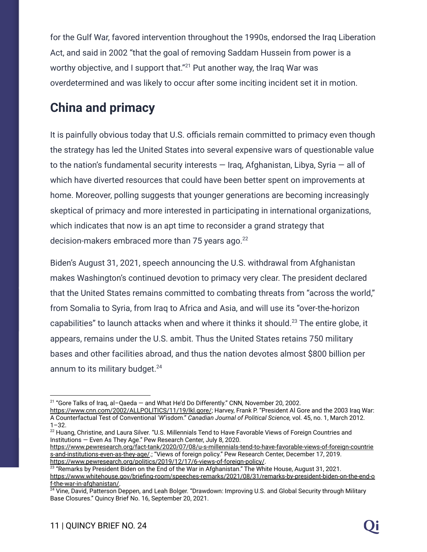for the Gulf War, favored intervention throughout the 1990s, endorsed the Iraq Liberation Act, and said in 2002 "that the goal of removing Saddam Hussein from power is a worthy objective, and I support that."<sup>21</sup> Put another way, the Iraq War was overdetermined and was likely to occur after some inciting incident set it in motion.

#### **China and primacy**

It is painfully obvious today that U.S. officials remain committed to primacy even though the strategy has led the United States into several expensive wars of questionable value to the nation's fundamental security interests — Iraq, Afghanistan, Libya, Syria — all of which have diverted resources that could have been better spent on improvements at home. Moreover, polling suggests that younger generations are becoming increasingly skeptical of primacy and more interested in participating in international organizations, which indicates that now is an apt time to reconsider a grand strategy that decision-makers embraced more than 75 years ago. $^{22}$ 

Biden's August 31, 2021, speech announcing the U.S. withdrawal from Afghanistan makes Washington's continued devotion to primacy very clear. The president declared that the United States remains committed to combating threats from "across the world," from Somalia to Syria, from Iraq to Africa and Asia, and will use its "over-the-horizon capabilities" to launch attacks when and where it thinks it should.<sup>23</sup> The entire globe, it appears, remains under the U.S. ambit. Thus the United States retains 750 military bases and other facilities abroad, and thus the nation devotes almost \$800 billion per annum to its military budget. $24$ 

<sup>21</sup> "Gore Talks of Iraq, al–Qaeda — and What He'd Do Differently." CNN*,* November 20, 2002.

<https://www.cnn.com/2002/ALLPOLITICS/11/19/lkl.gore/>; Harvey, Frank P. "President Al Gore and the 2003 Iraq War: A Counterfactual Test of Conventional '*W*'isdom." *Canadian Journal of Political Science,* vol. 45, no. 1, March 2012.  $1 - 32$ .

<sup>&</sup>lt;sup>22</sup> Huang, Christine, and Laura Silver. "U.S. Millennials Tend to Have Favorable Views of Foreign Countries and Institutions — Even As They Age." Pew Research Center, July 8, 2020.

[https://www.pewresearch.org/fact-tank/2020/07/08/u-s-millennials-tend-to-have-favorable-views-of-foreign-countrie](https://www.pewresearch.org/fact-tank/2020/07/08/u-s-millennials-tend-to-have-favorable-views-of-foreign-countries-and-institutions-even-as-they-age/) [s-and-institutions-even-as-they-age/.](https://www.pewresearch.org/fact-tank/2020/07/08/u-s-millennials-tend-to-have-favorable-views-of-foreign-countries-and-institutions-even-as-they-age/); "Views of foreign policy." Pew Research Center, December 17, 2019. <https://www.pewresearch.org/politics/2019/12/17/6-views-of-foreign-policy/>.

 $^{23}$  "Remarks by President Biden on the End of the War in Afghanistan." The White House, August 31, 2021. [https://www.whitehouse.gov/briefing-room/speeches-remarks/2021/08/31/remarks-by-president-biden-on-the-end-o](https://www.whitehouse.gov/briefing-room/speeches-remarks/2021/08/31/remarks-by-president-biden-on-the-end-of-the-war-in-afghanistan/) [f-the-war-in-afghanistan/.](https://www.whitehouse.gov/briefing-room/speeches-remarks/2021/08/31/remarks-by-president-biden-on-the-end-of-the-war-in-afghanistan/)

<sup>&</sup>lt;sup>24</sup> Vine, David, Patterson Deppen, and Leah Bolger. "Drawdown: Improving U.S. and Global Security through Military Base Closures." Quincy Brief No. 16, September 20, 2021.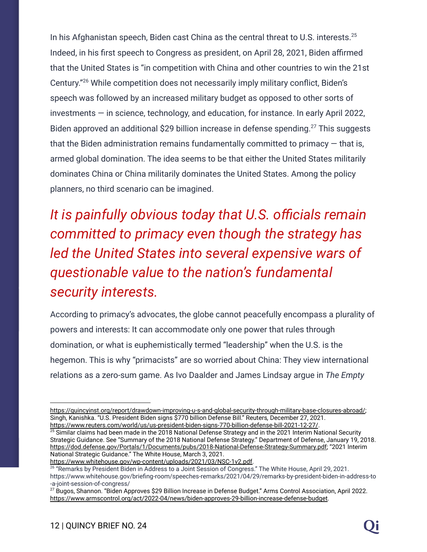In his Afghanistan speech, Biden cast China as the central threat to U.S. interests. $^{25}$ Indeed, in his first speech to Congress as president, on April 28, 2021, Biden affirmed that the United States is "in competition with China and other countries to win the 21st Century."<sup>26</sup> While competition does not necessarily imply military conflict, Biden's speech was followed by an increased military budget as opposed to other sorts of  $investments - in science, technology, and education, for instance. In early April 2022,$ Biden approved an additional \$29 billion increase in defense spending.<sup>27</sup> This suggests that the Biden administration remains fundamentally committed to primacy  $-$  that is, armed global domination. The idea seems to be that either the United States militarily dominates China or China militarily dominates the United States. Among the policy planners, no third scenario can be imagined.

*It is painfully obvious today that U.S. officials remain committed to primacy even though the strategy has led the United States into several expensive wars of questionable value to the nation's fundamental security interests.*

According to primacy's advocates, the globe cannot peacefully encompass a plurality of powers and interests: It can accommodate only one power that rules through domination, or what is euphemistically termed "leadership" when the U.S. is the hegemon. This is why "primacists" are so worried about China: They view international relations as a zero-sum game. As Ivo Daalder and James Lindsay argue in *The Empty*

[https://quincyinst.org/report/drawdown-improving-u-s-and-global-security-through-military-base-closures-abroad/;](https://quincyinst.org/report/drawdown-improving-u-s-and-global-security-through-military-base-closures-abroad/) Singh, Kanishka. "U.S. President Biden signs \$770 billion Defense Bill." Reuters*,* December 27, 2021. <https://www.reuters.com/world/us/us-president-biden-signs-770-billion-defense-bill-2021-12-27/>.

 $25$  Similar claims had been made in the 2018 National Defense Strategy and in the 2021 Interim National Security Strategic Guidance. See "Summary of the 2018 National Defense Strategy." Department of Defense, January 19, 2018. [https://dod.defense.gov/Portals/1/Documents/pubs/2018-National-Defense-Strategy-Summary.pdf;](https://dod.defense.gov/Portals/1/Documents/pubs/2018-National-Defense-Strategy-Summary.pdf) "2021 Interim National Strategic Guidance." The White House, March 3, 2021.

[https://www.whitehouse.gov/wp-content/uploads/2021/03/NSC-1v2.pdf.](https://www.whitehouse.gov/wp-content/uploads/2021/03/NSC-1v2.pdf)

<sup>26</sup> "Remarks by President Biden in Address to a Joint Session of Congress." The White House, April 29, 2021. https://www.whitehouse.gov/briefing-room/speeches-remarks/2021/04/29/remarks-by-president-biden-in-address-to -a-joint-session-of-congress/

 $^{27}$  Bugos, Shannon. "Biden Approves \$29 Billion Increase in Defense Budget." Arms Control Association, April 2022. [https://www.armscontrol.org/act/2022-04/news/biden-approves-29-billion-increase-defense-budget.](https://www.armscontrol.org/act/2022-04/news/biden-approves-29-billion-increase-defense-budget)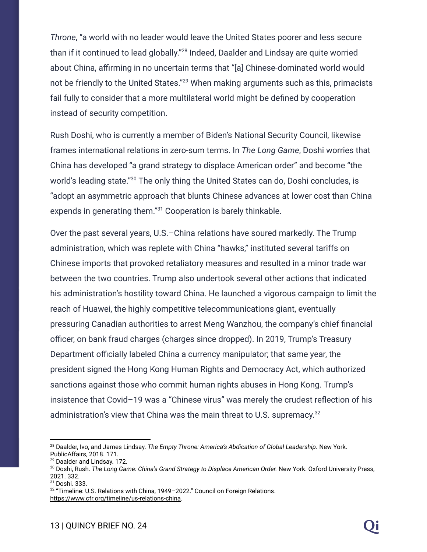*Throne*, "a world with no leader would leave the United States poorer and less secure than if it continued to lead globally."<sup>28</sup> Indeed, Daalder and Lindsay are quite worried about China, affirming in no uncertain terms that "[a] Chinese-dominated world would not be friendly to the United States."<sup>29</sup> When making arguments such as this, primacists fail fully to consider that a more multilateral world might be defined by cooperation instead of security competition.

Rush Doshi, who is currently a member of Biden's National Security Council, likewise frames international relations in zero-sum terms. In *The Long Game*, Doshi worries that China has developed "a grand strategy to displace American order" and become "the world's leading state."<sup>30</sup> The only thing the United States can do, Doshi concludes, is "adopt an asymmetric approach that blunts Chinese advances at lower cost than China expends in generating them."<sup>31</sup> Cooperation is barely thinkable.

Over the past several years, U.S.–China relations have soured markedly. The Trump administration, which was replete with China "hawks," instituted several tariffs on Chinese imports that provoked retaliatory measures and resulted in a minor trade war between the two countries. Trump also undertook several other actions that indicated his administration's hostility toward China. He launched a vigorous campaign to limit the reach of Huawei, the highly competitive telecommunications giant, eventually pressuring Canadian authorities to arrest Meng Wanzhou, the company's chief financial officer, on bank fraud charges (charges since dropped). In 2019, Trump's Treasury Department officially labeled China a currency manipulator; that same year, the president signed the Hong Kong Human Rights and Democracy Act, which authorized sanctions against those who commit human rights abuses in Hong Kong. Trump's insistence that Covid–19 was a "Chinese virus" was merely the crudest reflection of his administration's view that China was the main threat to U.S. supremacy. $32$ 

<sup>28</sup> Daalder, Ivo, and James Lindsay. *The Empty Throne: America's Abdication of Global Leadership.* New York. PublicAffairs, 2018. 171.

<sup>&</sup>lt;sup>29</sup> Daalder and Lindsay. 172.

<sup>30</sup> Doshi, Rush. *The Long Game: China's Grand Strategy to Displace American Order.* New York. Oxford University Press, 2021. 332.

<sup>31</sup> Doshi. 333.

<sup>32</sup> "Timeline: U.S. Relations with China, 1949–2022." Council on Foreign Relations. <https://www.cfr.org/timeline/us-relations-china>.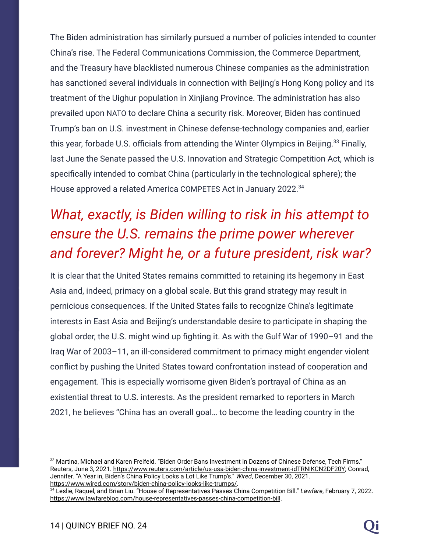The Biden administration has similarly pursued a number of policies intended to counter China's rise. The Federal Communications Commission, the Commerce Department, and the Treasury have blacklisted numerous Chinese companies as the administration has sanctioned several individuals in connection with Beijing's Hong Kong policy and its treatment of the Uighur population in Xinjiang Province. The administration has also prevailed upon NATO to declare China a security risk. Moreover, Biden has continued Trump's ban on U.S. investment in Chinese defense-technology companies and, earlier this year, forbade U.S. officials from attending the Winter Olympics in Beijing. $^{33}$  Finally, last June the Senate passed the U.S. Innovation and Strategic Competition Act, which is specifically intended to combat China (particularly in the technological sphere); the House approved a related America COMPETES Act in January 2022.<sup>34</sup>

# *What, exactly, is Biden willing to risk in his attempt to ensure the U.S. remains the prime power wherever and forever? Might he, or a future president, risk war?*

It is clear that the United States remains committed to retaining its hegemony in East Asia and, indeed, primacy on a global scale. But this grand strategy may result in pernicious consequences. If the United States fails to recognize China's legitimate interests in East Asia and Beijing's understandable desire to participate in shaping the global order, the U.S. might wind up fighting it. As with the Gulf War of 1990–91 and the Iraq War of 2003–11, an ill-considered commitment to primacy might engender violent conflict by pushing the United States toward confrontation instead of cooperation and engagement. This is especially worrisome given Biden's portrayal of China as an existential threat to U.S. interests. As the president remarked to reporters in March 2021, he believes "China has an overall goal… to become the leading country in the

<sup>33</sup> Martina, Michael and Karen Freifeld. "Biden Order Bans Investment in Dozens of Chinese Defense, Tech Firms." Reuters, June 3, 2021. <https://www.reuters.com/article/us-usa-biden-china-investment-idTRNIKCN2DF20Y>; Conrad, Jennifer. "A Year in, Biden's China Policy Looks a Lot Like Trump's." *Wired*, December 30, 2021. [https://www.wired.com/story/biden-china-policy-looks-like-trumps/.](https://www.wired.com/story/biden-china-policy-looks-like-trumps/)

<sup>34</sup> Leslie, Raquel, and Brian Liu. "House of Representatives Passes China Competition Bill." *Lawfare*, February 7, 2022. <https://www.lawfareblog.com/house-representatives-passes-china-competition-bill>.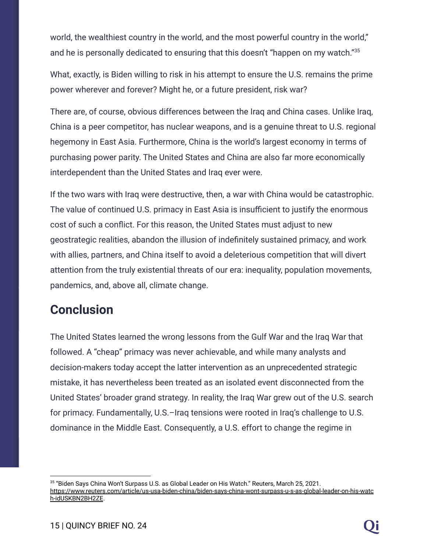world, the wealthiest country in the world, and the most powerful country in the world," and he is personally dedicated to ensuring that this doesn't "happen on my watch."<sup>35</sup>

What, exactly, is Biden willing to risk in his attempt to ensure the U.S. remains the prime power wherever and forever? Might he, or a future president, risk war?

There are, of course, obvious differences between the Iraq and China cases. Unlike Iraq, China is a peer competitor, has nuclear weapons, and is a genuine threat to U.S. regional hegemony in East Asia. Furthermore, China is the world's largest economy in terms of purchasing power parity. The United States and China are also far more economically interdependent than the United States and Iraq ever were.

If the two wars with Iraq were destructive, then, a war with China would be catastrophic. The value of continued U.S. primacy in East Asia is insufficient to justify the enormous cost of such a conflict. For this reason, the United States must adjust to new geostrategic realities, abandon the illusion of indefinitely sustained primacy, and work with allies, partners, and China itself to avoid a deleterious competition that will divert attention from the truly existential threats of our era: inequality, population movements, pandemics, and, above all, climate change.

#### **Conclusion**

The United States learned the wrong lessons from the Gulf War and the Iraq War that followed. A "cheap" primacy was never achievable, and while many analysts and decision-makers today accept the latter intervention as an unprecedented strategic mistake, it has nevertheless been treated as an isolated event disconnected from the United States' broader grand strategy. In reality, the Iraq War grew out of the U.S. search for primacy. Fundamentally, U.S.–Iraq tensions were rooted in Iraq's challenge to U.S. dominance in the Middle East. Consequently, a U.S. effort to change the regime in

 $^\mathrm{35}$  "Biden Says China Won't Surpass U.S. as Global Leader on His Watch." Reuters, March 25, 2021. [https://www.reuters.com/article/us-usa-biden-china/biden-says-china-wont-surpass-u-s-as-global-leader-on-his-watc](https://www.reuters.com/article/us-usa-biden-china/biden-says-china-wont-surpass-u-s-as-global-leader-on-his-watch-idUSKBN2BH2ZE) [h-idUSKBN2BH2ZE](https://www.reuters.com/article/us-usa-biden-china/biden-says-china-wont-surpass-u-s-as-global-leader-on-his-watch-idUSKBN2BH2ZE).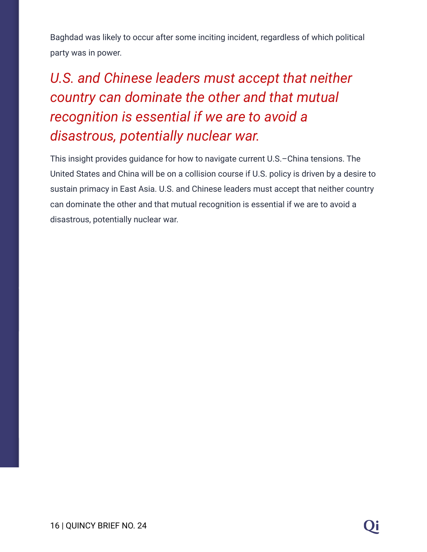Baghdad was likely to occur after some inciting incident, regardless of which political party was in power.

# *U.S. and Chinese leaders must accept that neither country can dominate the other and that mutual recognition is essential if we are to avoid a disastrous, potentially nuclear war.*

This insight provides guidance for how to navigate current U.S.–China tensions. The United States and China will be on a collision course if U.S. policy is driven by a desire to sustain primacy in East Asia. U.S. and Chinese leaders must accept that neither country can dominate the other and that mutual recognition is essential if we are to avoid a disastrous, potentially nuclear war.